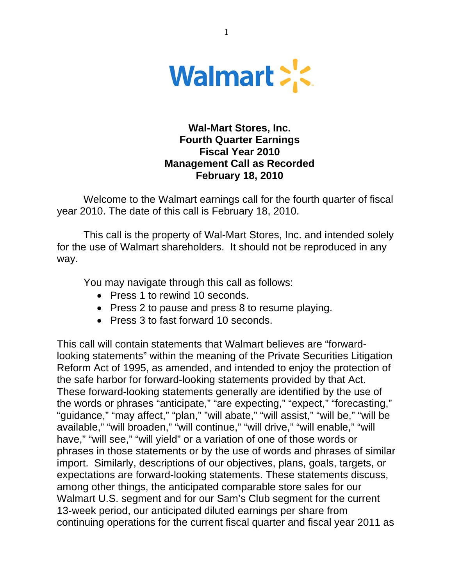

# **Wal-Mart Stores, Inc. Fourth Quarter Earnings Fiscal Year 2010 Management Call as Recorded February 18, 2010**

Welcome to the Walmart earnings call for the fourth quarter of fiscal year 2010. The date of this call is February 18, 2010.

This call is the property of Wal-Mart Stores, Inc. and intended solely for the use of Walmart shareholders. It should not be reproduced in any way.

You may navigate through this call as follows:

- Press 1 to rewind 10 seconds.
- Press 2 to pause and press 8 to resume playing.
- Press 3 to fast forward 10 seconds.

This call will contain statements that Walmart believes are "forwardlooking statements" within the meaning of the Private Securities Litigation Reform Act of 1995, as amended, and intended to enjoy the protection of the safe harbor for forward-looking statements provided by that Act. These forward-looking statements generally are identified by the use of the words or phrases "anticipate," "are expecting," "expect," "forecasting," "guidance," "may affect," "plan," "will abate," "will assist," "will be," "will be available," "will broaden," "will continue," "will drive," "will enable," "will have," "will see," "will yield" or a variation of one of those words or phrases in those statements or by the use of words and phrases of similar import. Similarly, descriptions of our objectives, plans, goals, targets, or expectations are forward-looking statements. These statements discuss, among other things, the anticipated comparable store sales for our Walmart U.S. segment and for our Sam's Club segment for the current 13-week period, our anticipated diluted earnings per share from continuing operations for the current fiscal quarter and fiscal year 2011 as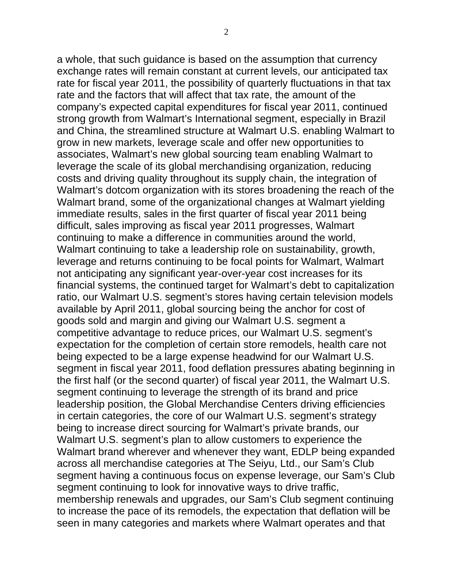a whole, that such guidance is based on the assumption that currency exchange rates will remain constant at current levels, our anticipated tax rate for fiscal year 2011, the possibility of quarterly fluctuations in that tax rate and the factors that will affect that tax rate, the amount of the company's expected capital expenditures for fiscal year 2011, continued strong growth from Walmart's International segment, especially in Brazil and China, the streamlined structure at Walmart U.S. enabling Walmart to grow in new markets, leverage scale and offer new opportunities to associates, Walmart's new global sourcing team enabling Walmart to leverage the scale of its global merchandising organization, reducing costs and driving quality throughout its supply chain, the integration of Walmart's dotcom organization with its stores broadening the reach of the Walmart brand, some of the organizational changes at Walmart yielding immediate results, sales in the first quarter of fiscal year 2011 being difficult, sales improving as fiscal year 2011 progresses, Walmart continuing to make a difference in communities around the world, Walmart continuing to take a leadership role on sustainability, growth, leverage and returns continuing to be focal points for Walmart, Walmart not anticipating any significant year-over-year cost increases for its financial systems, the continued target for Walmart's debt to capitalization ratio, our Walmart U.S. segment's stores having certain television models available by April 2011, global sourcing being the anchor for cost of goods sold and margin and giving our Walmart U.S. segment a competitive advantage to reduce prices, our Walmart U.S. segment's expectation for the completion of certain store remodels, health care not being expected to be a large expense headwind for our Walmart U.S. segment in fiscal year 2011, food deflation pressures abating beginning in the first half (or the second quarter) of fiscal year 2011, the Walmart U.S. segment continuing to leverage the strength of its brand and price leadership position, the Global Merchandise Centers driving efficiencies in certain categories, the core of our Walmart U.S. segment's strategy being to increase direct sourcing for Walmart's private brands, our Walmart U.S. segment's plan to allow customers to experience the Walmart brand wherever and whenever they want, EDLP being expanded across all merchandise categories at The Seiyu, Ltd., our Sam's Club segment having a continuous focus on expense leverage, our Sam's Club segment continuing to look for innovative ways to drive traffic, membership renewals and upgrades, our Sam's Club segment continuing to increase the pace of its remodels, the expectation that deflation will be seen in many categories and markets where Walmart operates and that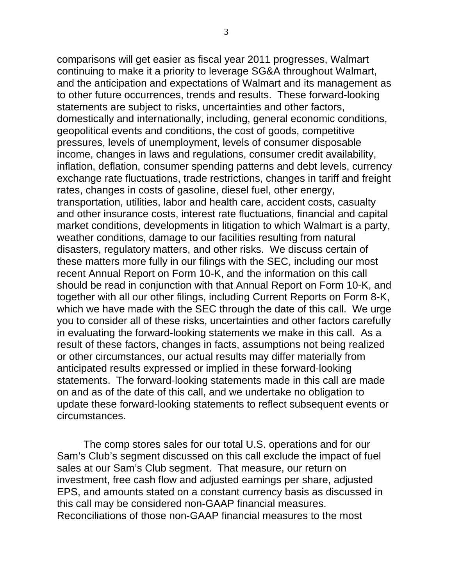comparisons will get easier as fiscal year 2011 progresses, Walmart continuing to make it a priority to leverage SG&A throughout Walmart, and the anticipation and expectations of Walmart and its management as to other future occurrences, trends and results. These forward-looking statements are subject to risks, uncertainties and other factors, domestically and internationally, including, general economic conditions, geopolitical events and conditions, the cost of goods, competitive pressures, levels of unemployment, levels of consumer disposable income, changes in laws and regulations, consumer credit availability, inflation, deflation, consumer spending patterns and debt levels, currency exchange rate fluctuations, trade restrictions, changes in tariff and freight rates, changes in costs of gasoline, diesel fuel, other energy, transportation, utilities, labor and health care, accident costs, casualty and other insurance costs, interest rate fluctuations, financial and capital market conditions, developments in litigation to which Walmart is a party, weather conditions, damage to our facilities resulting from natural disasters, regulatory matters, and other risks. We discuss certain of these matters more fully in our filings with the SEC, including our most recent Annual Report on Form 10-K, and the information on this call should be read in conjunction with that Annual Report on Form 10-K, and together with all our other filings, including Current Reports on Form 8-K, which we have made with the SEC through the date of this call. We urge you to consider all of these risks, uncertainties and other factors carefully in evaluating the forward-looking statements we make in this call. As a result of these factors, changes in facts, assumptions not being realized or other circumstances, our actual results may differ materially from anticipated results expressed or implied in these forward-looking statements. The forward-looking statements made in this call are made on and as of the date of this call, and we undertake no obligation to update these forward-looking statements to reflect subsequent events or circumstances.

The comp stores sales for our total U.S. operations and for our Sam's Club's segment discussed on this call exclude the impact of fuel sales at our Sam's Club segment. That measure, our return on investment, free cash flow and adjusted earnings per share, adjusted EPS, and amounts stated on a constant currency basis as discussed in this call may be considered non-GAAP financial measures. Reconciliations of those non-GAAP financial measures to the most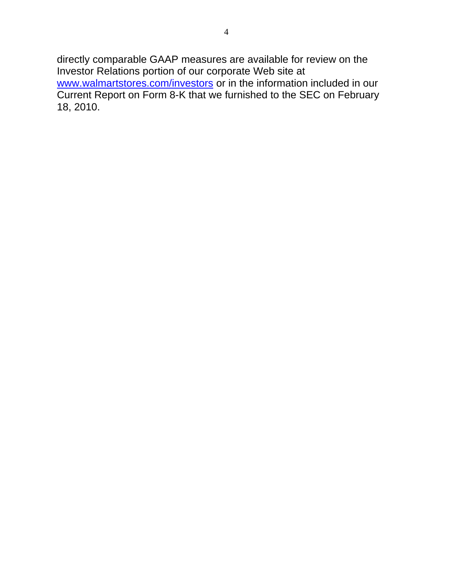directly comparable GAAP measures are available for review on the Investor Relations portion of our corporate Web site at [www.walmartstores.com/investors](http://www.walmartstores.com/investors) or in the information included in our Current Report on Form 8-K that we furnished to the SEC on February 18, 2010.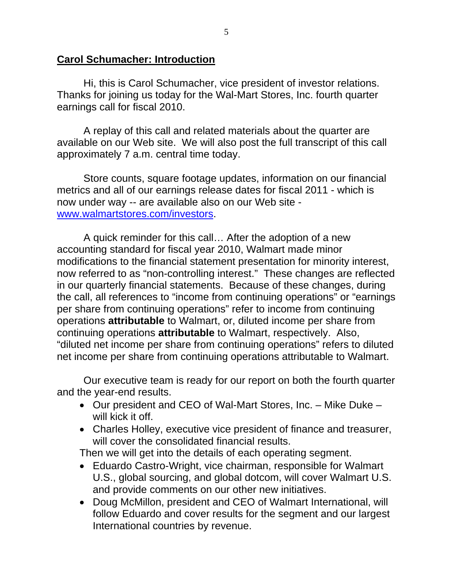# **Carol Schumacher: Introduction**

Hi, this is Carol Schumacher, vice president of investor relations. Thanks for joining us today for the Wal-Mart Stores, Inc. fourth quarter earnings call for fiscal 2010.

A replay of this call and related materials about the quarter are available on our Web site. We will also post the full transcript of this call approximately 7 a.m. central time today.

Store counts, square footage updates, information on our financial metrics and all of our earnings release dates for fiscal 2011 - which is now under way -- are available also on our Web site [www.walmartstores.com/investors](http://www.walmartstores.com/investors).

A quick reminder for this call… After the adoption of a new accounting standard for fiscal year 2010, Walmart made minor modifications to the financial statement presentation for minority interest, now referred to as "non-controlling interest." These changes are reflected in our quarterly financial statements. Because of these changes, during the call, all references to "income from continuing operations" or "earnings per share from continuing operations" refer to income from continuing operations **attributable** to Walmart, or, diluted income per share from continuing operations **attributable** to Walmart, respectively. Also, "diluted net income per share from continuing operations" refers to diluted net income per share from continuing operations attributable to Walmart.

Our executive team is ready for our report on both the fourth quarter and the year-end results.

- Our president and CEO of Wal-Mart Stores, Inc. Mike Duke will kick it off.
- Charles Holley, executive vice president of finance and treasurer, will cover the consolidated financial results.

Then we will get into the details of each operating segment.

- Eduardo Castro-Wright, vice chairman, responsible for Walmart U.S., global sourcing, and global dotcom, will cover Walmart U.S. and provide comments on our other new initiatives.
- Doug McMillon, president and CEO of Walmart International, will follow Eduardo and cover results for the segment and our largest International countries by revenue.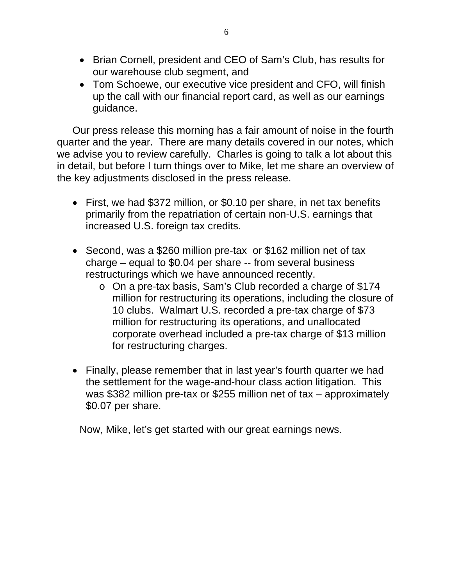- Brian Cornell, president and CEO of Sam's Club, has results for our warehouse club segment, and
- Tom Schoewe, our executive vice president and CFO, will finish up the call with our financial report card, as well as our earnings guidance.

Our press release this morning has a fair amount of noise in the fourth quarter and the year. There are many details covered in our notes, which we advise you to review carefully. Charles is going to talk a lot about this in detail, but before I turn things over to Mike, let me share an overview of the key adjustments disclosed in the press release.

- First, we had \$372 million, or \$0.10 per share, in net tax benefits primarily from the repatriation of certain non-U.S. earnings that increased U.S. foreign tax credits.
- Second, was a \$260 million pre-tax or \$162 million net of tax charge – equal to \$0.04 per share -- from several business restructurings which we have announced recently.
	- o On a pre-tax basis, Sam's Club recorded a charge of \$174 million for restructuring its operations, including the closure of 10 clubs. Walmart U.S. recorded a pre-tax charge of \$73 million for restructuring its operations, and unallocated corporate overhead included a pre-tax charge of \$13 million for restructuring charges.
- Finally, please remember that in last year's fourth quarter we had the settlement for the wage-and-hour class action litigation. This was \$382 million pre-tax or \$255 million net of tax – approximately \$0.07 per share.

Now, Mike, let's get started with our great earnings news.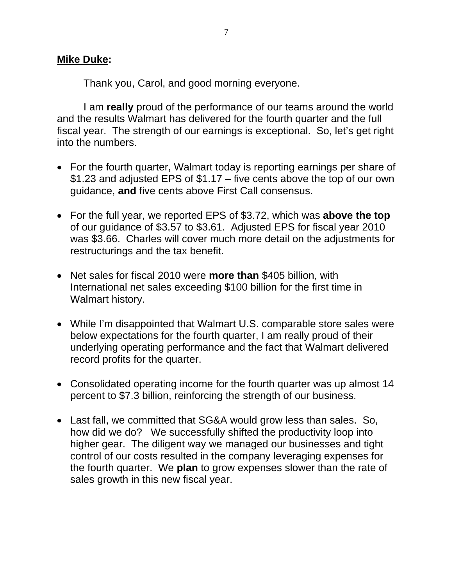### **Mike Duke:**

Thank you, Carol, and good morning everyone.

I am **really** proud of the performance of our teams around the world and the results Walmart has delivered for the fourth quarter and the full fiscal year. The strength of our earnings is exceptional. So, let's get right into the numbers.

- For the fourth quarter, Walmart today is reporting earnings per share of \$1.23 and adjusted EPS of \$1.17 – five cents above the top of our own guidance, **and** five cents above First Call consensus.
- For the full year, we reported EPS of \$3.72, which was **above the top** of our guidance of \$3.57 to \$3.61. Adjusted EPS for fiscal year 2010 was \$3.66. Charles will cover much more detail on the adjustments for restructurings and the tax benefit.
- Net sales for fiscal 2010 were **more than** \$405 billion, with International net sales exceeding \$100 billion for the first time in Walmart history.
- While I'm disappointed that Walmart U.S. comparable store sales were below expectations for the fourth quarter, I am really proud of their underlying operating performance and the fact that Walmart delivered record profits for the quarter.
- Consolidated operating income for the fourth quarter was up almost 14 percent to \$7.3 billion, reinforcing the strength of our business.
- Last fall, we committed that SG&A would grow less than sales. So, how did we do? We successfully shifted the productivity loop into higher gear. The diligent way we managed our businesses and tight control of our costs resulted in the company leveraging expenses for the fourth quarter. We **plan** to grow expenses slower than the rate of sales growth in this new fiscal year.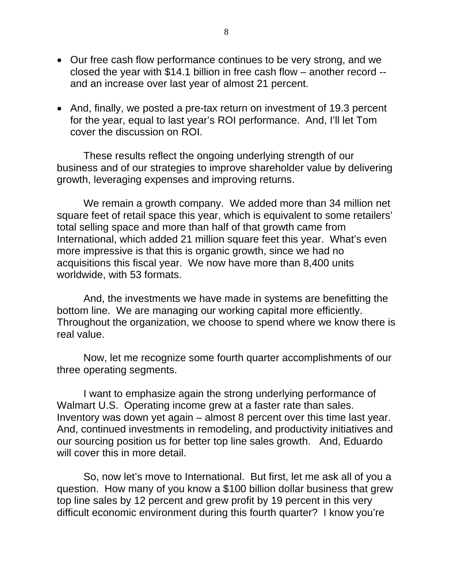- Our free cash flow performance continues to be very strong, and we closed the year with \$14.1 billion in free cash flow – another record - and an increase over last year of almost 21 percent.
- And, finally, we posted a pre-tax return on investment of 19.3 percent for the year, equal to last year's ROI performance. And, I'll let Tom cover the discussion on ROI.

These results reflect the ongoing underlying strength of our business and of our strategies to improve shareholder value by delivering growth, leveraging expenses and improving returns.

 We remain a growth company. We added more than 34 million net square feet of retail space this year, which is equivalent to some retailers' total selling space and more than half of that growth came from International, which added 21 million square feet this year. What's even more impressive is that this is organic growth, since we had no acquisitions this fiscal year. We now have more than 8,400 units worldwide, with 53 formats.

 And, the investments we have made in systems are benefitting the bottom line. We are managing our working capital more efficiently. Throughout the organization, we choose to spend where we know there is real value.

 Now, let me recognize some fourth quarter accomplishments of our three operating segments.

I want to emphasize again the strong underlying performance of Walmart U.S. Operating income grew at a faster rate than sales. Inventory was down yet again – almost 8 percent over this time last year. And, continued investments in remodeling, and productivity initiatives and our sourcing position us for better top line sales growth. And, Eduardo will cover this in more detail.

So, now let's move to International. But first, let me ask all of you a question. How many of you know a \$100 billion dollar business that grew top line sales by 12 percent and grew profit by 19 percent in this very difficult economic environment during this fourth quarter? I know you're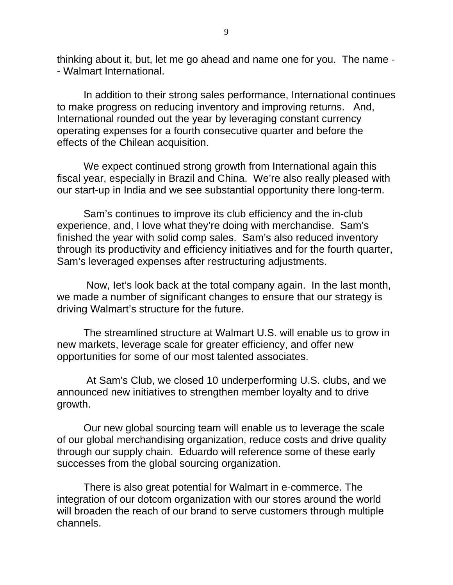thinking about it, but, let me go ahead and name one for you. The name - - Walmart International.

In addition to their strong sales performance, International continues to make progress on reducing inventory and improving returns. And, International rounded out the year by leveraging constant currency operating expenses for a fourth consecutive quarter and before the effects of the Chilean acquisition.

We expect continued strong growth from International again this fiscal year, especially in Brazil and China. We're also really pleased with our start-up in India and we see substantial opportunity there long-term.

Sam's continues to improve its club efficiency and the in-club experience, and, I love what they're doing with merchandise. Sam's finished the year with solid comp sales. Sam's also reduced inventory through its productivity and efficiency initiatives and for the fourth quarter, Sam's leveraged expenses after restructuring adjustments.

 Now, Iet's look back at the total company again. In the last month, we made a number of significant changes to ensure that our strategy is driving Walmart's structure for the future.

The streamlined structure at Walmart U.S. will enable us to grow in new markets, leverage scale for greater efficiency, and offer new opportunities for some of our most talented associates.

 At Sam's Club, we closed 10 underperforming U.S. clubs, and we announced new initiatives to strengthen member loyalty and to drive growth.

Our new global sourcing team will enable us to leverage the scale of our global merchandising organization, reduce costs and drive quality through our supply chain. Eduardo will reference some of these early successes from the global sourcing organization.

There is also great potential for Walmart in e-commerce. The integration of our dotcom organization with our stores around the world will broaden the reach of our brand to serve customers through multiple channels.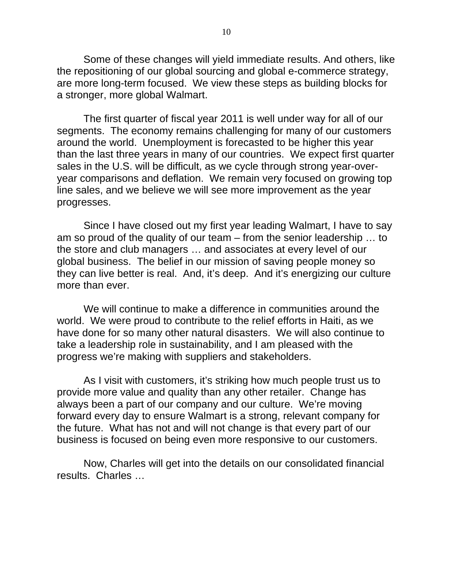Some of these changes will yield immediate results. And others, like the repositioning of our global sourcing and global e-commerce strategy, are more long-term focused. We view these steps as building blocks for a stronger, more global Walmart.

The first quarter of fiscal year 2011 is well under way for all of our segments. The economy remains challenging for many of our customers around the world. Unemployment is forecasted to be higher this year than the last three years in many of our countries. We expect first quarter sales in the U.S. will be difficult, as we cycle through strong year-overyear comparisons and deflation. We remain very focused on growing top line sales, and we believe we will see more improvement as the year progresses.

Since I have closed out my first year leading Walmart, I have to say am so proud of the quality of our team – from the senior leadership … to the store and club managers … and associates at every level of our global business. The belief in our mission of saving people money so they can live better is real. And, it's deep. And it's energizing our culture more than ever.

We will continue to make a difference in communities around the world. We were proud to contribute to the relief efforts in Haiti, as we have done for so many other natural disasters. We will also continue to take a leadership role in sustainability, and I am pleased with the progress we're making with suppliers and stakeholders.

As I visit with customers, it's striking how much people trust us to provide more value and quality than any other retailer. Change has always been a part of our company and our culture. We're moving forward every day to ensure Walmart is a strong, relevant company for the future. What has not and will not change is that every part of our business is focused on being even more responsive to our customers.

Now, Charles will get into the details on our consolidated financial results. Charles …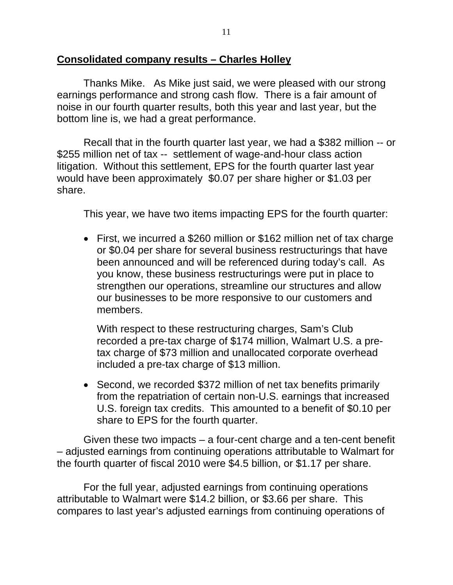### **Consolidated company results – Charles Holley**

Thanks Mike. As Mike just said, we were pleased with our strong earnings performance and strong cash flow. There is a fair amount of noise in our fourth quarter results, both this year and last year, but the bottom line is, we had a great performance.

Recall that in the fourth quarter last year, we had a \$382 million -- or \$255 million net of tax -- settlement of wage-and-hour class action litigation. Without this settlement, EPS for the fourth quarter last year would have been approximately \$0.07 per share higher or \$1.03 per share.

This year, we have two items impacting EPS for the fourth quarter:

• First, we incurred a \$260 million or \$162 million net of tax charge or \$0.04 per share for several business restructurings that have been announced and will be referenced during today's call. As you know, these business restructurings were put in place to strengthen our operations, streamline our structures and allow our businesses to be more responsive to our customers and members.

With respect to these restructuring charges, Sam's Club recorded a pre-tax charge of \$174 million, Walmart U.S. a pretax charge of \$73 million and unallocated corporate overhead included a pre-tax charge of \$13 million.

• Second, we recorded \$372 million of net tax benefits primarily from the repatriation of certain non-U.S. earnings that increased U.S. foreign tax credits. This amounted to a benefit of \$0.10 per share to EPS for the fourth quarter.

Given these two impacts – a four-cent charge and a ten-cent benefit – adjusted earnings from continuing operations attributable to Walmart for the fourth quarter of fiscal 2010 were \$4.5 billion, or \$1.17 per share.

For the full year, adjusted earnings from continuing operations attributable to Walmart were \$14.2 billion, or \$3.66 per share. This compares to last year's adjusted earnings from continuing operations of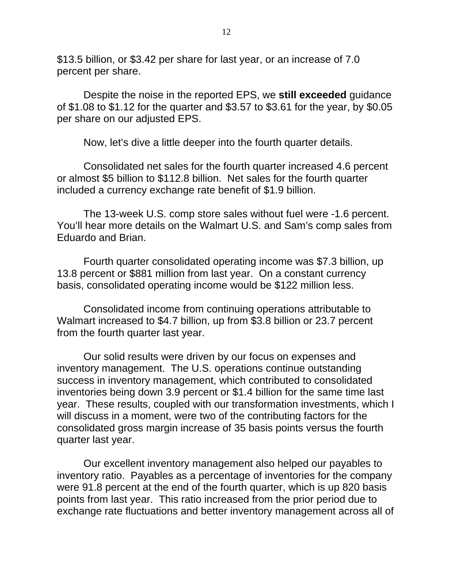\$13.5 billion, or \$3.42 per share for last year, or an increase of 7.0 percent per share.

Despite the noise in the reported EPS, we **still exceeded** guidance of \$1.08 to \$1.12 for the quarter and \$3.57 to \$3.61 for the year, by \$0.05 per share on our adjusted EPS.

Now, let's dive a little deeper into the fourth quarter details.

Consolidated net sales for the fourth quarter increased 4.6 percent or almost \$5 billion to \$112.8 billion. Net sales for the fourth quarter included a currency exchange rate benefit of \$1.9 billion.

The 13-week U.S. comp store sales without fuel were -1.6 percent. You'll hear more details on the Walmart U.S. and Sam's comp sales from Eduardo and Brian.

Fourth quarter consolidated operating income was \$7.3 billion, up 13.8 percent or \$881 million from last year. On a constant currency basis, consolidated operating income would be \$122 million less.

Consolidated income from continuing operations attributable to Walmart increased to \$4.7 billion, up from \$3.8 billion or 23.7 percent from the fourth quarter last year.

Our solid results were driven by our focus on expenses and inventory management. The U.S. operations continue outstanding success in inventory management, which contributed to consolidated inventories being down 3.9 percent or \$1.4 billion for the same time last year. These results, coupled with our transformation investments, which I will discuss in a moment, were two of the contributing factors for the consolidated gross margin increase of 35 basis points versus the fourth quarter last year.

Our excellent inventory management also helped our payables to inventory ratio. Payables as a percentage of inventories for the company were 91.8 percent at the end of the fourth quarter, which is up 820 basis points from last year. This ratio increased from the prior period due to exchange rate fluctuations and better inventory management across all of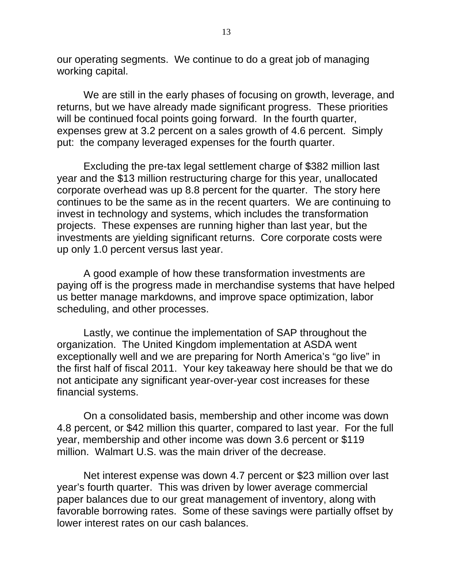our operating segments. We continue to do a great job of managing working capital.

We are still in the early phases of focusing on growth, leverage, and returns, but we have already made significant progress. These priorities will be continued focal points going forward. In the fourth quarter, expenses grew at 3.2 percent on a sales growth of 4.6 percent. Simply put: the company leveraged expenses for the fourth quarter.

Excluding the pre-tax legal settlement charge of \$382 million last year and the \$13 million restructuring charge for this year, unallocated corporate overhead was up 8.8 percent for the quarter. The story here continues to be the same as in the recent quarters. We are continuing to invest in technology and systems, which includes the transformation projects. These expenses are running higher than last year, but the investments are yielding significant returns. Core corporate costs were up only 1.0 percent versus last year.

A good example of how these transformation investments are paying off is the progress made in merchandise systems that have helped us better manage markdowns, and improve space optimization, labor scheduling, and other processes.

Lastly, we continue the implementation of SAP throughout the organization. The United Kingdom implementation at ASDA went exceptionally well and we are preparing for North America's "go live" in the first half of fiscal 2011. Your key takeaway here should be that we do not anticipate any significant year-over-year cost increases for these financial systems.

On a consolidated basis, membership and other income was down 4.8 percent, or \$42 million this quarter, compared to last year. For the full year, membership and other income was down 3.6 percent or \$119 million. Walmart U.S. was the main driver of the decrease.

Net interest expense was down 4.7 percent or \$23 million over last year's fourth quarter. This was driven by lower average commercial paper balances due to our great management of inventory, along with favorable borrowing rates. Some of these savings were partially offset by lower interest rates on our cash balances.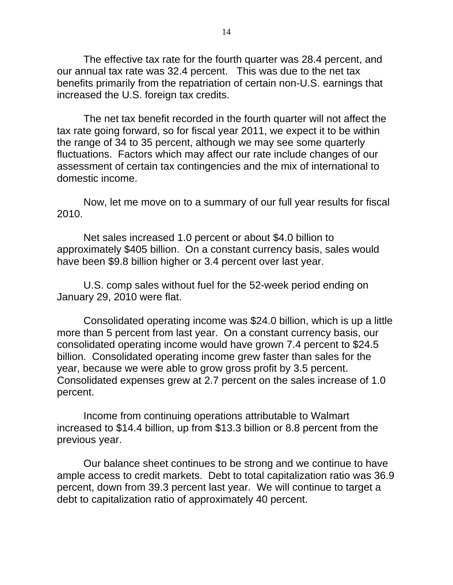The effective tax rate for the fourth quarter was 28.4 percent, and our annual tax rate was 32.4 percent. This was due to the net tax benefits primarily from the repatriation of certain non-U.S. earnings that increased the U.S. foreign tax credits.

The net tax benefit recorded in the fourth quarter will not affect the tax rate going forward, so for fiscal year 2011, we expect it to be within the range of 34 to 35 percent, although we may see some quarterly fluctuations. Factors which may affect our rate include changes of our assessment of certain tax contingencies and the mix of international to domestic income.

Now, let me move on to a summary of our full year results for fiscal 2010.

Net sales increased 1.0 percent or about \$4.0 billion to approximately \$405 billion. On a constant currency basis, sales would have been \$9.8 billion higher or 3.4 percent over last year.

U.S. comp sales without fuel for the 52-week period ending on January 29, 2010 were flat.

Consolidated operating income was \$24.0 billion, which is up a little more than 5 percent from last year. On a constant currency basis, our consolidated operating income would have grown 7.4 percent to \$24.5 billion. Consolidated operating income grew faster than sales for the year, because we were able to grow gross profit by 3.5 percent. Consolidated expenses grew at 2.7 percent on the sales increase of 1.0 percent.

Income from continuing operations attributable to Walmart increased to \$14.4 billion, up from \$13.3 billion or 8.8 percent from the previous year.

Our balance sheet continues to be strong and we continue to have ample access to credit markets. Debt to total capitalization ratio was 36.9 percent, down from 39.3 percent last year. We will continue to target a debt to capitalization ratio of approximately 40 percent.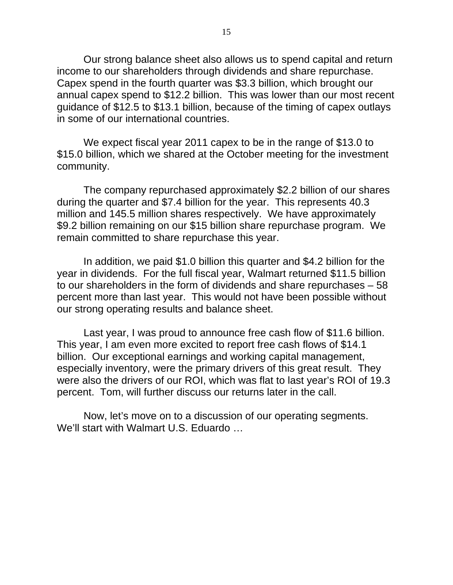Our strong balance sheet also allows us to spend capital and return income to our shareholders through dividends and share repurchase. Capex spend in the fourth quarter was \$3.3 billion, which brought our annual capex spend to \$12.2 billion. This was lower than our most recent guidance of \$12.5 to \$13.1 billion, because of the timing of capex outlays in some of our international countries.

We expect fiscal year 2011 capex to be in the range of \$13.0 to \$15.0 billion, which we shared at the October meeting for the investment community.

The company repurchased approximately \$2.2 billion of our shares during the quarter and \$7.4 billion for the year. This represents 40.3 million and 145.5 million shares respectively. We have approximately \$9.2 billion remaining on our \$15 billion share repurchase program. We remain committed to share repurchase this year.

In addition, we paid \$1.0 billion this quarter and \$4.2 billion for the year in dividends. For the full fiscal year, Walmart returned \$11.5 billion to our shareholders in the form of dividends and share repurchases – 58 percent more than last year. This would not have been possible without our strong operating results and balance sheet.

Last year, I was proud to announce free cash flow of \$11.6 billion. This year, I am even more excited to report free cash flows of \$14.1 billion. Our exceptional earnings and working capital management, especially inventory, were the primary drivers of this great result. They were also the drivers of our ROI, which was flat to last year's ROI of 19.3 percent. Tom, will further discuss our returns later in the call.

Now, let's move on to a discussion of our operating segments. We'll start with Walmart U.S. Eduardo …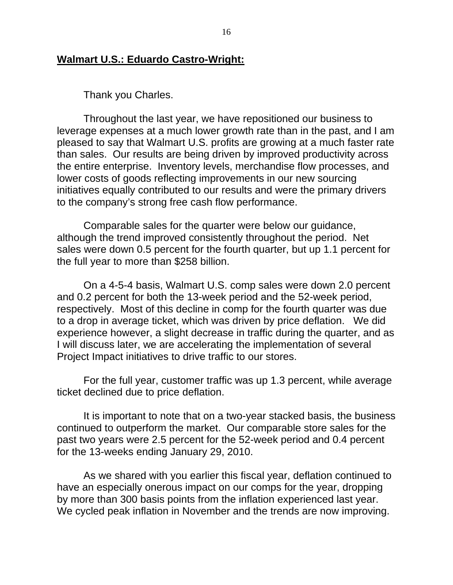### **Walmart U.S.: Eduardo Castro-Wright:**

Thank you Charles.

Throughout the last year, we have repositioned our business to leverage expenses at a much lower growth rate than in the past, and I am pleased to say that Walmart U.S. profits are growing at a much faster rate than sales. Our results are being driven by improved productivity across the entire enterprise. Inventory levels, merchandise flow processes, and lower costs of goods reflecting improvements in our new sourcing initiatives equally contributed to our results and were the primary drivers to the company's strong free cash flow performance.

Comparable sales for the quarter were below our guidance, although the trend improved consistently throughout the period. Net sales were down 0.5 percent for the fourth quarter, but up 1.1 percent for the full year to more than \$258 billion.

On a 4-5-4 basis, Walmart U.S. comp sales were down 2.0 percent and 0.2 percent for both the 13-week period and the 52-week period, respectively. Most of this decline in comp for the fourth quarter was due to a drop in average ticket, which was driven by price deflation. We did experience however, a slight decrease in traffic during the quarter, and as I will discuss later, we are accelerating the implementation of several Project Impact initiatives to drive traffic to our stores.

For the full year, customer traffic was up 1.3 percent, while average ticket declined due to price deflation.

It is important to note that on a two-year stacked basis, the business continued to outperform the market. Our comparable store sales for the past two years were 2.5 percent for the 52-week period and 0.4 percent for the 13-weeks ending January 29, 2010.

As we shared with you earlier this fiscal year, deflation continued to have an especially onerous impact on our comps for the year, dropping by more than 300 basis points from the inflation experienced last year. We cycled peak inflation in November and the trends are now improving.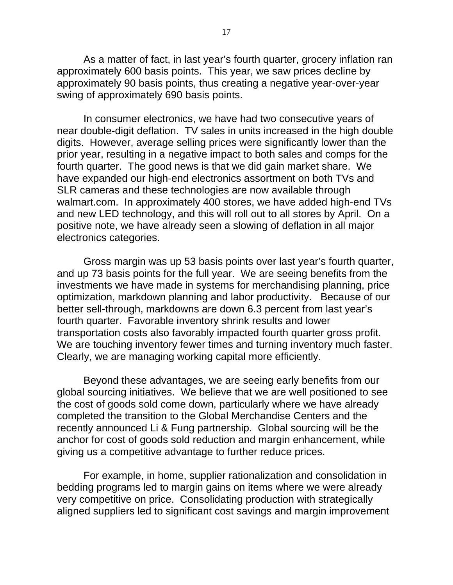As a matter of fact, in last year's fourth quarter, grocery inflation ran approximately 600 basis points. This year, we saw prices decline by approximately 90 basis points, thus creating a negative year-over-year swing of approximately 690 basis points.

In consumer electronics, we have had two consecutive years of near double-digit deflation. TV sales in units increased in the high double digits. However, average selling prices were significantly lower than the prior year, resulting in a negative impact to both sales and comps for the fourth quarter. The good news is that we did gain market share. We have expanded our high-end electronics assortment on both TVs and SLR cameras and these technologies are now available through walmart.com. In approximately 400 stores, we have added high-end TVs and new LED technology, and this will roll out to all stores by April. On a positive note, we have already seen a slowing of deflation in all major electronics categories.

Gross margin was up 53 basis points over last year's fourth quarter, and up 73 basis points for the full year. We are seeing benefits from the investments we have made in systems for merchandising planning, price optimization, markdown planning and labor productivity. Because of our better sell-through, markdowns are down 6.3 percent from last year's fourth quarter. Favorable inventory shrink results and lower transportation costs also favorably impacted fourth quarter gross profit. We are touching inventory fewer times and turning inventory much faster. Clearly, we are managing working capital more efficiently.

Beyond these advantages, we are seeing early benefits from our global sourcing initiatives. We believe that we are well positioned to see the cost of goods sold come down, particularly where we have already completed the transition to the Global Merchandise Centers and the recently announced Li & Fung partnership. Global sourcing will be the anchor for cost of goods sold reduction and margin enhancement, while giving us a competitive advantage to further reduce prices.

For example, in home, supplier rationalization and consolidation in bedding programs led to margin gains on items where we were already very competitive on price. Consolidating production with strategically aligned suppliers led to significant cost savings and margin improvement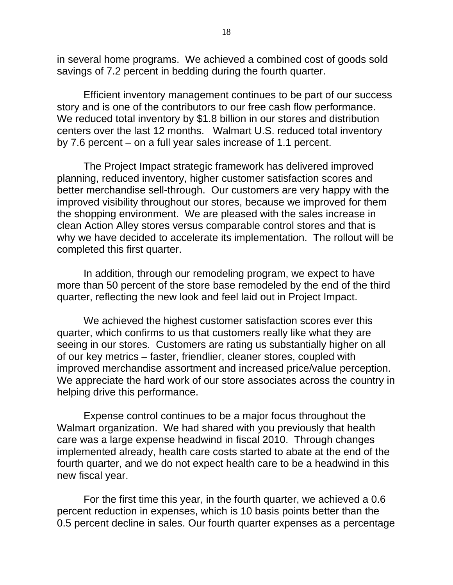in several home programs. We achieved a combined cost of goods sold savings of 7.2 percent in bedding during the fourth quarter.

Efficient inventory management continues to be part of our success story and is one of the contributors to our free cash flow performance. We reduced total inventory by \$1.8 billion in our stores and distribution centers over the last 12 months. Walmart U.S. reduced total inventory by 7.6 percent – on a full year sales increase of 1.1 percent.

The Project Impact strategic framework has delivered improved planning, reduced inventory, higher customer satisfaction scores and better merchandise sell-through. Our customers are very happy with the improved visibility throughout our stores, because we improved for them the shopping environment. We are pleased with the sales increase in clean Action Alley stores versus comparable control stores and that is why we have decided to accelerate its implementation. The rollout will be completed this first quarter.

In addition, through our remodeling program, we expect to have more than 50 percent of the store base remodeled by the end of the third quarter, reflecting the new look and feel laid out in Project Impact.

We achieved the highest customer satisfaction scores ever this quarter, which confirms to us that customers really like what they are seeing in our stores. Customers are rating us substantially higher on all of our key metrics – faster, friendlier, cleaner stores, coupled with improved merchandise assortment and increased price/value perception. We appreciate the hard work of our store associates across the country in helping drive this performance.

Expense control continues to be a major focus throughout the Walmart organization. We had shared with you previously that health care was a large expense headwind in fiscal 2010. Through changes implemented already, health care costs started to abate at the end of the fourth quarter, and we do not expect health care to be a headwind in this new fiscal year.

For the first time this year, in the fourth quarter, we achieved a 0.6 percent reduction in expenses, which is 10 basis points better than the 0.5 percent decline in sales. Our fourth quarter expenses as a percentage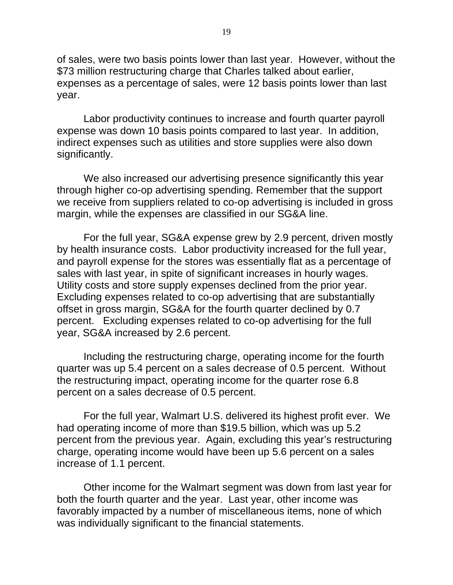of sales, were two basis points lower than last year. However, without the \$73 million restructuring charge that Charles talked about earlier, expenses as a percentage of sales, were 12 basis points lower than last year.

Labor productivity continues to increase and fourth quarter payroll expense was down 10 basis points compared to last year. In addition, indirect expenses such as utilities and store supplies were also down significantly.

We also increased our advertising presence significantly this year through higher co-op advertising spending. Remember that the support we receive from suppliers related to co-op advertising is included in gross margin, while the expenses are classified in our SG&A line.

For the full year, SG&A expense grew by 2.9 percent, driven mostly by health insurance costs. Labor productivity increased for the full year, and payroll expense for the stores was essentially flat as a percentage of sales with last year, in spite of significant increases in hourly wages. Utility costs and store supply expenses declined from the prior year. Excluding expenses related to co-op advertising that are substantially offset in gross margin, SG&A for the fourth quarter declined by 0.7 percent. Excluding expenses related to co-op advertising for the full year, SG&A increased by 2.6 percent.

Including the restructuring charge, operating income for the fourth quarter was up 5.4 percent on a sales decrease of 0.5 percent. Without the restructuring impact, operating income for the quarter rose 6.8 percent on a sales decrease of 0.5 percent.

For the full year, Walmart U.S. delivered its highest profit ever. We had operating income of more than \$19.5 billion, which was up 5.2 percent from the previous year. Again, excluding this year's restructuring charge, operating income would have been up 5.6 percent on a sales increase of 1.1 percent.

Other income for the Walmart segment was down from last year for both the fourth quarter and the year. Last year, other income was favorably impacted by a number of miscellaneous items, none of which was individually significant to the financial statements.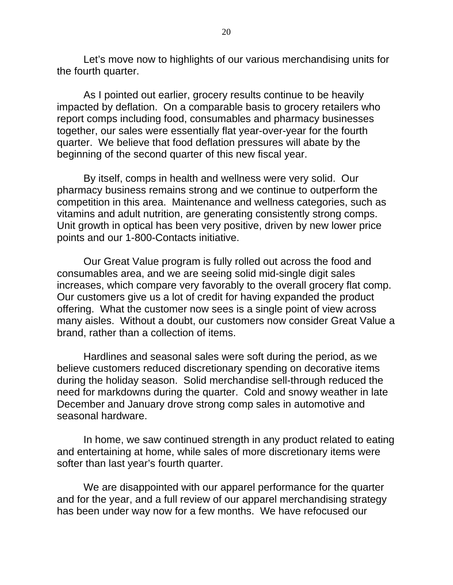Let's move now to highlights of our various merchandising units for the fourth quarter.

As I pointed out earlier, grocery results continue to be heavily impacted by deflation. On a comparable basis to grocery retailers who report comps including food, consumables and pharmacy businesses together, our sales were essentially flat year-over-year for the fourth quarter. We believe that food deflation pressures will abate by the beginning of the second quarter of this new fiscal year.

By itself, comps in health and wellness were very solid. Our pharmacy business remains strong and we continue to outperform the competition in this area. Maintenance and wellness categories, such as vitamins and adult nutrition, are generating consistently strong comps. Unit growth in optical has been very positive, driven by new lower price points and our 1-800-Contacts initiative.

Our Great Value program is fully rolled out across the food and consumables area, and we are seeing solid mid-single digit sales increases, which compare very favorably to the overall grocery flat comp. Our customers give us a lot of credit for having expanded the product offering. What the customer now sees is a single point of view across many aisles. Without a doubt, our customers now consider Great Value a brand, rather than a collection of items.

Hardlines and seasonal sales were soft during the period, as we believe customers reduced discretionary spending on decorative items during the holiday season. Solid merchandise sell-through reduced the need for markdowns during the quarter. Cold and snowy weather in late December and January drove strong comp sales in automotive and seasonal hardware.

In home, we saw continued strength in any product related to eating and entertaining at home, while sales of more discretionary items were softer than last year's fourth quarter.

 We are disappointed with our apparel performance for the quarter and for the year, and a full review of our apparel merchandising strategy has been under way now for a few months. We have refocused our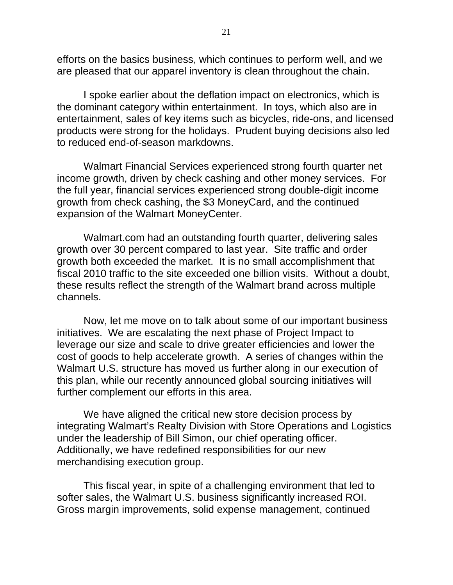efforts on the basics business, which continues to perform well, and we are pleased that our apparel inventory is clean throughout the chain.

I spoke earlier about the deflation impact on electronics, which is the dominant category within entertainment. In toys, which also are in entertainment, sales of key items such as bicycles, ride-ons, and licensed products were strong for the holidays. Prudent buying decisions also led to reduced end-of-season markdowns.

 Walmart Financial Services experienced strong fourth quarter net income growth, driven by check cashing and other money services. For the full year, financial services experienced strong double-digit income growth from check cashing, the \$3 MoneyCard, and the continued expansion of the Walmart MoneyCenter.

 Walmart.com had an outstanding fourth quarter, delivering sales growth over 30 percent compared to last year. Site traffic and order growth both exceeded the market. It is no small accomplishment that fiscal 2010 traffic to the site exceeded one billion visits. Without a doubt, these results reflect the strength of the Walmart brand across multiple channels.

 Now, let me move on to talk about some of our important business initiatives. We are escalating the next phase of Project Impact to leverage our size and scale to drive greater efficiencies and lower the cost of goods to help accelerate growth. A series of changes within the Walmart U.S. structure has moved us further along in our execution of this plan, while our recently announced global sourcing initiatives will further complement our efforts in this area.

We have aligned the critical new store decision process by integrating Walmart's Realty Division with Store Operations and Logistics under the leadership of Bill Simon, our chief operating officer. Additionally, we have redefined responsibilities for our new merchandising execution group.

This fiscal year, in spite of a challenging environment that led to softer sales, the Walmart U.S. business significantly increased ROI. Gross margin improvements, solid expense management, continued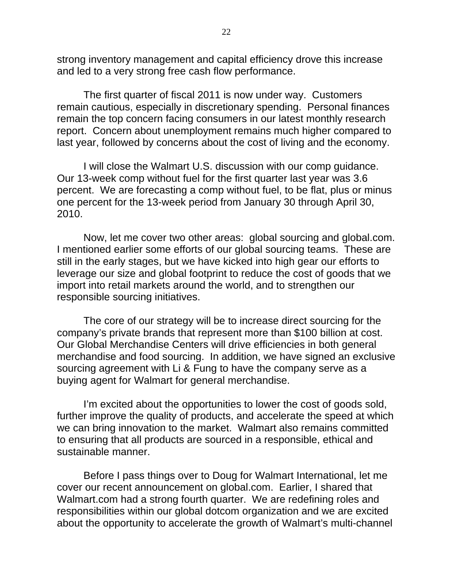strong inventory management and capital efficiency drove this increase and led to a very strong free cash flow performance.

The first quarter of fiscal 2011 is now under way. Customers remain cautious, especially in discretionary spending. Personal finances remain the top concern facing consumers in our latest monthly research report. Concern about unemployment remains much higher compared to last year, followed by concerns about the cost of living and the economy.

 I will close the Walmart U.S. discussion with our comp guidance. Our 13-week comp without fuel for the first quarter last year was 3.6 percent. We are forecasting a comp without fuel, to be flat, plus or minus one percent for the 13-week period from January 30 through April 30, 2010.

Now, let me cover two other areas: global sourcing and global.com. I mentioned earlier some efforts of our global sourcing teams. These are still in the early stages, but we have kicked into high gear our efforts to leverage our size and global footprint to reduce the cost of goods that we import into retail markets around the world, and to strengthen our responsible sourcing initiatives.

The core of our strategy will be to increase direct sourcing for the company's private brands that represent more than \$100 billion at cost. Our Global Merchandise Centers will drive efficiencies in both general merchandise and food sourcing. In addition, we have signed an exclusive sourcing agreement with Li & Fung to have the company serve as a buying agent for Walmart for general merchandise.

I'm excited about the opportunities to lower the cost of goods sold, further improve the quality of products, and accelerate the speed at which we can bring innovation to the market. Walmart also remains committed to ensuring that all products are sourced in a responsible, ethical and sustainable manner.

Before I pass things over to Doug for Walmart International, let me cover our recent announcement on global.com. Earlier, I shared that Walmart.com had a strong fourth quarter. We are redefining roles and responsibilities within our global dotcom organization and we are excited about the opportunity to accelerate the growth of Walmart's multi-channel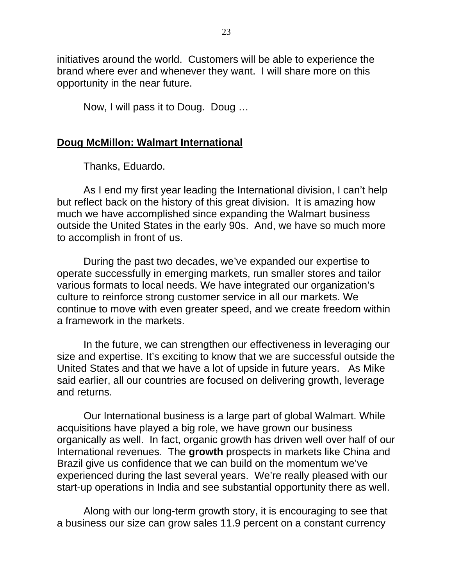initiatives around the world. Customers will be able to experience the brand where ever and whenever they want. I will share more on this opportunity in the near future.

Now, I will pass it to Doug. Doug …

### **Doug McMillon: Walmart International**

Thanks, Eduardo.

As I end my first year leading the International division, I can't help but reflect back on the history of this great division. It is amazing how much we have accomplished since expanding the Walmart business outside the United States in the early 90s. And, we have so much more to accomplish in front of us.

During the past two decades, we've expanded our expertise to operate successfully in emerging markets, run smaller stores and tailor various formats to local needs. We have integrated our organization's culture to reinforce strong customer service in all our markets. We continue to move with even greater speed, and we create freedom within a framework in the markets.

In the future, we can strengthen our effectiveness in leveraging our size and expertise. It's exciting to know that we are successful outside the United States and that we have a lot of upside in future years. As Mike said earlier, all our countries are focused on delivering growth, leverage and returns.

Our International business is a large part of global Walmart. While acquisitions have played a big role, we have grown our business organically as well. In fact, organic growth has driven well over half of our International revenues. The **growth** prospects in markets like China and Brazil give us confidence that we can build on the momentum we've experienced during the last several years. We're really pleased with our start-up operations in India and see substantial opportunity there as well.

Along with our long-term growth story, it is encouraging to see that a business our size can grow sales 11.9 percent on a constant currency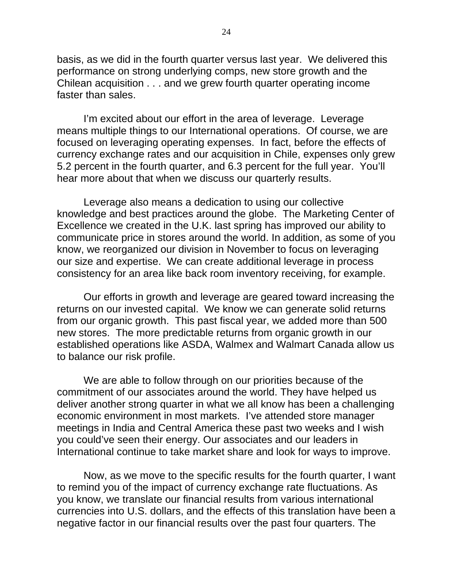basis, as we did in the fourth quarter versus last year. We delivered this performance on strong underlying comps, new store growth and the Chilean acquisition . . . and we grew fourth quarter operating income faster than sales.

I'm excited about our effort in the area of leverage. Leverage means multiple things to our International operations. Of course, we are focused on leveraging operating expenses. In fact, before the effects of currency exchange rates and our acquisition in Chile, expenses only grew 5.2 percent in the fourth quarter, and 6.3 percent for the full year. You'll hear more about that when we discuss our quarterly results.

Leverage also means a dedication to using our collective knowledge and best practices around the globe. The Marketing Center of Excellence we created in the U.K. last spring has improved our ability to communicate price in stores around the world. In addition, as some of you know, we reorganized our division in November to focus on leveraging our size and expertise. We can create additional leverage in process consistency for an area like back room inventory receiving, for example.

Our efforts in growth and leverage are geared toward increasing the returns on our invested capital. We know we can generate solid returns from our organic growth. This past fiscal year, we added more than 500 new stores. The more predictable returns from organic growth in our established operations like ASDA, Walmex and Walmart Canada allow us to balance our risk profile.

We are able to follow through on our priorities because of the commitment of our associates around the world. They have helped us deliver another strong quarter in what we all know has been a challenging economic environment in most markets. I've attended store manager meetings in India and Central America these past two weeks and I wish you could've seen their energy. Our associates and our leaders in International continue to take market share and look for ways to improve.

Now, as we move to the specific results for the fourth quarter, I want to remind you of the impact of currency exchange rate fluctuations. As you know, we translate our financial results from various international currencies into U.S. dollars, and the effects of this translation have been a negative factor in our financial results over the past four quarters. The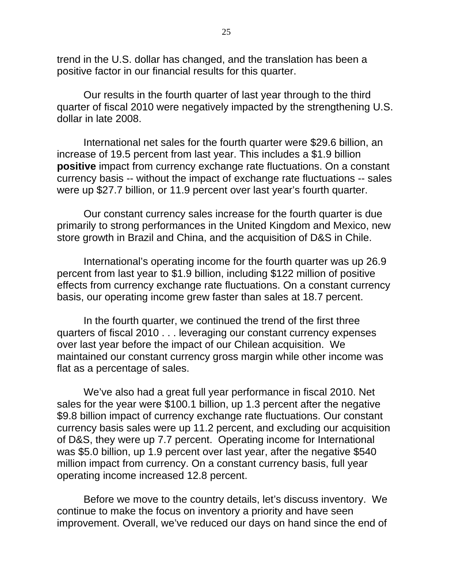trend in the U.S. dollar has changed, and the translation has been a positive factor in our financial results for this quarter.

Our results in the fourth quarter of last year through to the third quarter of fiscal 2010 were negatively impacted by the strengthening U.S. dollar in late 2008.

International net sales for the fourth quarter were \$29.6 billion, an increase of 19.5 percent from last year. This includes a \$1.9 billion **positive** impact from currency exchange rate fluctuations. On a constant currency basis -- without the impact of exchange rate fluctuations -- sales were up \$27.7 billion, or 11.9 percent over last year's fourth quarter.

Our constant currency sales increase for the fourth quarter is due primarily to strong performances in the United Kingdom and Mexico, new store growth in Brazil and China, and the acquisition of D&S in Chile.

International's operating income for the fourth quarter was up 26.9 percent from last year to \$1.9 billion, including \$122 million of positive effects from currency exchange rate fluctuations. On a constant currency basis, our operating income grew faster than sales at 18.7 percent.

In the fourth quarter, we continued the trend of the first three quarters of fiscal 2010 . . . leveraging our constant currency expenses over last year before the impact of our Chilean acquisition. We maintained our constant currency gross margin while other income was flat as a percentage of sales.

We've also had a great full year performance in fiscal 2010. Net sales for the year were \$100.1 billion, up 1.3 percent after the negative \$9.8 billion impact of currency exchange rate fluctuations. Our constant currency basis sales were up 11.2 percent, and excluding our acquisition of D&S, they were up 7.7 percent. Operating income for International was \$5.0 billion, up 1.9 percent over last year, after the negative \$540 million impact from currency. On a constant currency basis, full year operating income increased 12.8 percent.

Before we move to the country details, let's discuss inventory. We continue to make the focus on inventory a priority and have seen improvement. Overall, we've reduced our days on hand since the end of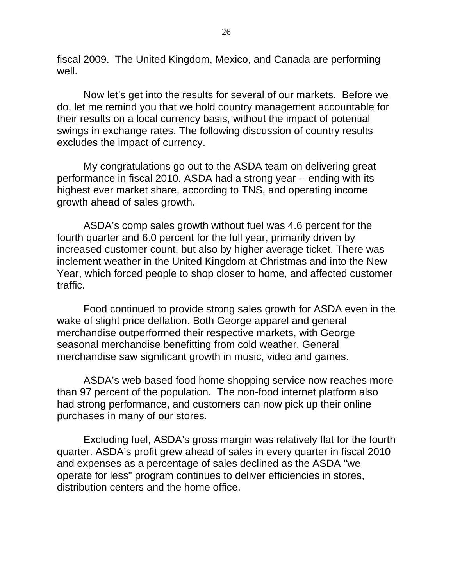fiscal 2009. The United Kingdom, Mexico, and Canada are performing well.

Now let's get into the results for several of our markets. Before we do, let me remind you that we hold country management accountable for their results on a local currency basis, without the impact of potential swings in exchange rates. The following discussion of country results excludes the impact of currency.

My congratulations go out to the ASDA team on delivering great performance in fiscal 2010. ASDA had a strong year -- ending with its highest ever market share, according to TNS, and operating income growth ahead of sales growth.

ASDA's comp sales growth without fuel was 4.6 percent for the fourth quarter and 6.0 percent for the full year, primarily driven by increased customer count, but also by higher average ticket. There was inclement weather in the United Kingdom at Christmas and into the New Year, which forced people to shop closer to home, and affected customer traffic.

Food continued to provide strong sales growth for ASDA even in the wake of slight price deflation. Both George apparel and general merchandise outperformed their respective markets, with George seasonal merchandise benefitting from cold weather. General merchandise saw significant growth in music, video and games.

ASDA's web-based food home shopping service now reaches more than 97 percent of the population. The non-food internet platform also had strong performance, and customers can now pick up their online purchases in many of our stores.

Excluding fuel, ASDA's gross margin was relatively flat for the fourth quarter. ASDA's profit grew ahead of sales in every quarter in fiscal 2010 and expenses as a percentage of sales declined as the ASDA "we operate for less" program continues to deliver efficiencies in stores, distribution centers and the home office.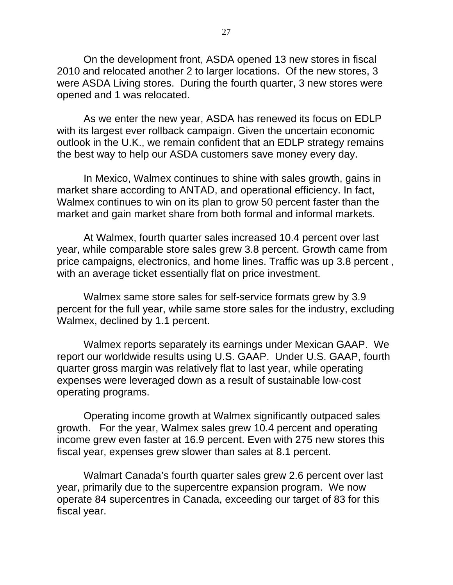On the development front, ASDA opened 13 new stores in fiscal 2010 and relocated another 2 to larger locations. Of the new stores, 3 were ASDA Living stores. During the fourth quarter, 3 new stores were opened and 1 was relocated.

As we enter the new year, ASDA has renewed its focus on EDLP with its largest ever rollback campaign. Given the uncertain economic outlook in the U.K., we remain confident that an EDLP strategy remains the best way to help our ASDA customers save money every day.

In Mexico, Walmex continues to shine with sales growth, gains in market share according to ANTAD, and operational efficiency. In fact, Walmex continues to win on its plan to grow 50 percent faster than the market and gain market share from both formal and informal markets.

At Walmex, fourth quarter sales increased 10.4 percent over last year, while comparable store sales grew 3.8 percent. Growth came from price campaigns, electronics, and home lines. Traffic was up 3.8 percent , with an average ticket essentially flat on price investment.

Walmex same store sales for self-service formats grew by 3.9 percent for the full year, while same store sales for the industry, excluding Walmex, declined by 1.1 percent.

Walmex reports separately its earnings under Mexican GAAP. We report our worldwide results using U.S. GAAP. Under U.S. GAAP, fourth quarter gross margin was relatively flat to last year, while operating expenses were leveraged down as a result of sustainable low-cost operating programs.

Operating income growth at Walmex significantly outpaced sales growth. For the year, Walmex sales grew 10.4 percent and operating income grew even faster at 16.9 percent. Even with 275 new stores this fiscal year, expenses grew slower than sales at 8.1 percent.

Walmart Canada's fourth quarter sales grew 2.6 percent over last year, primarily due to the supercentre expansion program. We now operate 84 supercentres in Canada, exceeding our target of 83 for this fiscal year.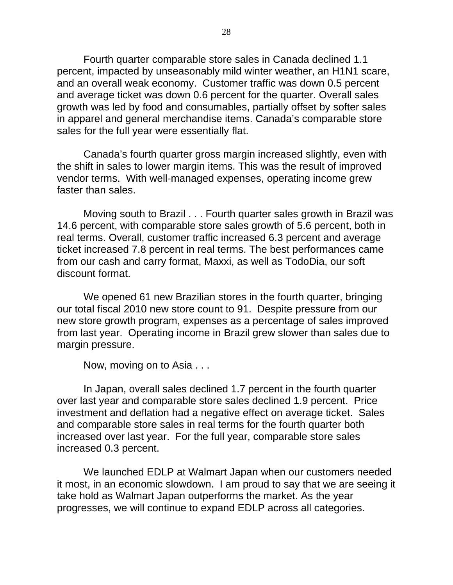Fourth quarter comparable store sales in Canada declined 1.1 percent, impacted by unseasonably mild winter weather, an H1N1 scare, and an overall weak economy. Customer traffic was down 0.5 percent and average ticket was down 0.6 percent for the quarter. Overall sales growth was led by food and consumables, partially offset by softer sales in apparel and general merchandise items. Canada's comparable store sales for the full year were essentially flat.

Canada's fourth quarter gross margin increased slightly, even with the shift in sales to lower margin items. This was the result of improved vendor terms. With well-managed expenses, operating income grew faster than sales.

Moving south to Brazil . . . Fourth quarter sales growth in Brazil was 14.6 percent, with comparable store sales growth of 5.6 percent, both in real terms. Overall, customer traffic increased 6.3 percent and average ticket increased 7.8 percent in real terms. The best performances came from our cash and carry format, Maxxi, as well as TodoDia, our soft discount format.

We opened 61 new Brazilian stores in the fourth quarter, bringing our total fiscal 2010 new store count to 91. Despite pressure from our new store growth program, expenses as a percentage of sales improved from last year. Operating income in Brazil grew slower than sales due to margin pressure.

Now, moving on to Asia . . .

In Japan, overall sales declined 1.7 percent in the fourth quarter over last year and comparable store sales declined 1.9 percent. Price investment and deflation had a negative effect on average ticket. Sales and comparable store sales in real terms for the fourth quarter both increased over last year. For the full year, comparable store sales increased 0.3 percent.

We launched EDLP at Walmart Japan when our customers needed it most, in an economic slowdown. I am proud to say that we are seeing it take hold as Walmart Japan outperforms the market. As the year progresses, we will continue to expand EDLP across all categories.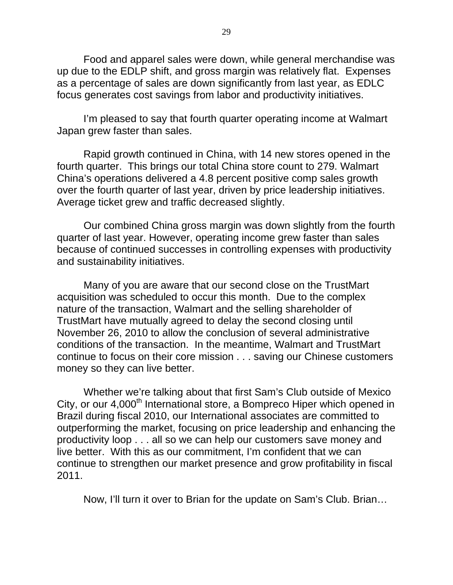Food and apparel sales were down, while general merchandise was up due to the EDLP shift, and gross margin was relatively flat. Expenses as a percentage of sales are down significantly from last year, as EDLC focus generates cost savings from labor and productivity initiatives.

I'm pleased to say that fourth quarter operating income at Walmart Japan grew faster than sales.

Rapid growth continued in China, with 14 new stores opened in the fourth quarter. This brings our total China store count to 279. Walmart China's operations delivered a 4.8 percent positive comp sales growth over the fourth quarter of last year, driven by price leadership initiatives. Average ticket grew and traffic decreased slightly.

Our combined China gross margin was down slightly from the fourth quarter of last year. However, operating income grew faster than sales because of continued successes in controlling expenses with productivity and sustainability initiatives.

Many of you are aware that our second close on the TrustMart acquisition was scheduled to occur this month. Due to the complex nature of the transaction, Walmart and the selling shareholder of TrustMart have mutually agreed to delay the second closing until November 26, 2010 to allow the conclusion of several administrative conditions of the transaction. In the meantime, Walmart and TrustMart continue to focus on their core mission . . . saving our Chinese customers money so they can live better.

Whether we're talking about that first Sam's Club outside of Mexico City, or our 4,000<sup>th</sup> International store, a Bompreco Hiper which opened in Brazil during fiscal 2010, our International associates are committed to outperforming the market, focusing on price leadership and enhancing the productivity loop . . . all so we can help our customers save money and live better. With this as our commitment, I'm confident that we can continue to strengthen our market presence and grow profitability in fiscal 2011.

Now, I'll turn it over to Brian for the update on Sam's Club. Brian…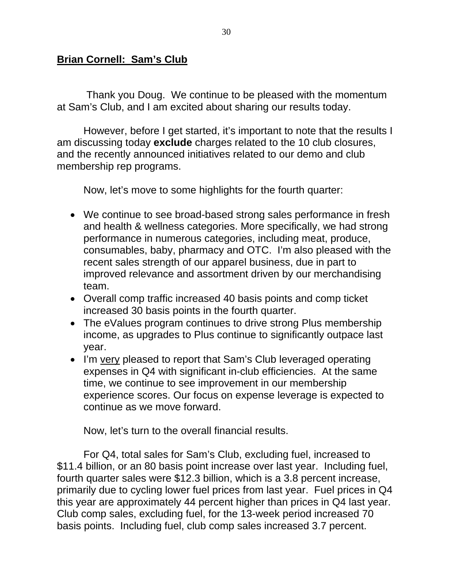# **Brian Cornell: Sam's Club**

 Thank you Doug. We continue to be pleased with the momentum at Sam's Club, and I am excited about sharing our results today.

However, before I get started, it's important to note that the results I am discussing today **exclude** charges related to the 10 club closures, and the recently announced initiatives related to our demo and club membership rep programs.

Now, let's move to some highlights for the fourth quarter:

- We continue to see broad-based strong sales performance in fresh and health & wellness categories. More specifically, we had strong performance in numerous categories, including meat, produce, consumables, baby, pharmacy and OTC. I'm also pleased with the recent sales strength of our apparel business, due in part to improved relevance and assortment driven by our merchandising team.
- Overall comp traffic increased 40 basis points and comp ticket increased 30 basis points in the fourth quarter.
- The eValues program continues to drive strong Plus membership income, as upgrades to Plus continue to significantly outpace last year.
- I'm very pleased to report that Sam's Club leveraged operating expenses in Q4 with significant in-club efficiencies. At the same time, we continue to see improvement in our membership experience scores. Our focus on expense leverage is expected to continue as we move forward.

Now, let's turn to the overall financial results.

For Q4, total sales for Sam's Club, excluding fuel, increased to \$11.4 billion, or an 80 basis point increase over last year. Including fuel, fourth quarter sales were \$12.3 billion, which is a 3.8 percent increase, primarily due to cycling lower fuel prices from last year. Fuel prices in Q4 this year are approximately 44 percent higher than prices in Q4 last year. Club comp sales, excluding fuel, for the 13-week period increased 70 basis points. Including fuel, club comp sales increased 3.7 percent.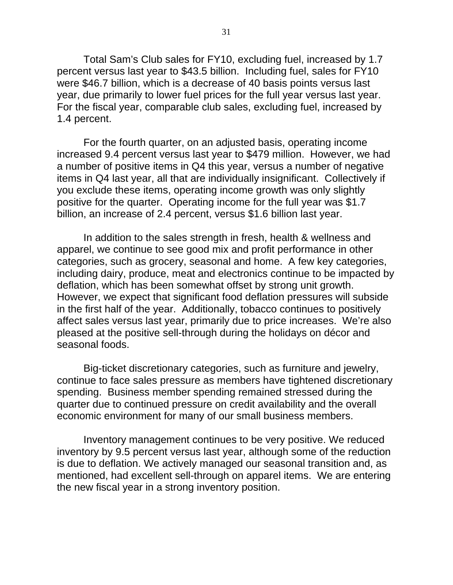Total Sam's Club sales for FY10, excluding fuel, increased by 1.7 percent versus last year to \$43.5 billion. Including fuel, sales for FY10 were \$46.7 billion, which is a decrease of 40 basis points versus last year, due primarily to lower fuel prices for the full year versus last year. For the fiscal year, comparable club sales, excluding fuel, increased by 1.4 percent.

For the fourth quarter, on an adjusted basis, operating income increased 9.4 percent versus last year to \$479 million. However, we had a number of positive items in Q4 this year, versus a number of negative items in Q4 last year, all that are individually insignificant. Collectively if you exclude these items, operating income growth was only slightly positive for the quarter. Operating income for the full year was \$1.7 billion, an increase of 2.4 percent, versus \$1.6 billion last year.

In addition to the sales strength in fresh, health & wellness and apparel, we continue to see good mix and profit performance in other categories, such as grocery, seasonal and home. A few key categories, including dairy, produce, meat and electronics continue to be impacted by deflation, which has been somewhat offset by strong unit growth. However, we expect that significant food deflation pressures will subside in the first half of the year. Additionally, tobacco continues to positively affect sales versus last year, primarily due to price increases. We're also pleased at the positive sell-through during the holidays on décor and seasonal foods.

Big-ticket discretionary categories, such as furniture and jewelry, continue to face sales pressure as members have tightened discretionary spending. Business member spending remained stressed during the quarter due to continued pressure on credit availability and the overall economic environment for many of our small business members.

Inventory management continues to be very positive. We reduced inventory by 9.5 percent versus last year, although some of the reduction is due to deflation. We actively managed our seasonal transition and, as mentioned, had excellent sell-through on apparel items. We are entering the new fiscal year in a strong inventory position.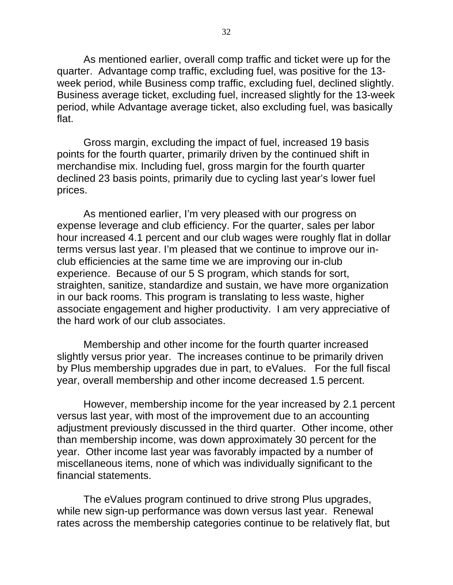As mentioned earlier, overall comp traffic and ticket were up for the quarter. Advantage comp traffic, excluding fuel, was positive for the 13 week period, while Business comp traffic, excluding fuel, declined slightly. Business average ticket, excluding fuel, increased slightly for the 13-week period, while Advantage average ticket, also excluding fuel, was basically flat.

Gross margin, excluding the impact of fuel, increased 19 basis points for the fourth quarter, primarily driven by the continued shift in merchandise mix. Including fuel, gross margin for the fourth quarter declined 23 basis points, primarily due to cycling last year's lower fuel prices.

As mentioned earlier, I'm very pleased with our progress on expense leverage and club efficiency. For the quarter, sales per labor hour increased 4.1 percent and our club wages were roughly flat in dollar terms versus last year. I'm pleased that we continue to improve our inclub efficiencies at the same time we are improving our in-club experience. Because of our 5 S program, which stands for sort, straighten, sanitize, standardize and sustain, we have more organization in our back rooms. This program is translating to less waste, higher associate engagement and higher productivity. I am very appreciative of the hard work of our club associates.

Membership and other income for the fourth quarter increased slightly versus prior year. The increases continue to be primarily driven by Plus membership upgrades due in part, to eValues. For the full fiscal year, overall membership and other income decreased 1.5 percent.

However, membership income for the year increased by 2.1 percent versus last year, with most of the improvement due to an accounting adjustment previously discussed in the third quarter. Other income, other than membership income, was down approximately 30 percent for the year. Other income last year was favorably impacted by a number of miscellaneous items, none of which was individually significant to the financial statements.

The eValues program continued to drive strong Plus upgrades, while new sign-up performance was down versus last year. Renewal rates across the membership categories continue to be relatively flat, but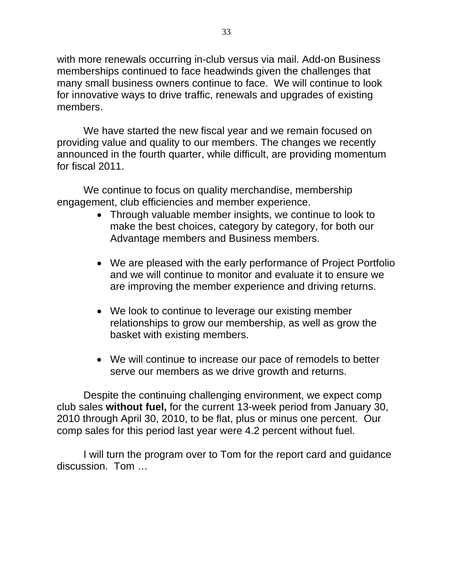with more renewals occurring in-club versus via mail. Add-on Business memberships continued to face headwinds given the challenges that many small business owners continue to face. We will continue to look for innovative ways to drive traffic, renewals and upgrades of existing members.

We have started the new fiscal year and we remain focused on providing value and quality to our members. The changes we recently announced in the fourth quarter, while difficult, are providing momentum for fiscal 2011.

We continue to focus on quality merchandise, membership engagement, club efficiencies and member experience.

- Through valuable member insights, we continue to look to make the best choices, category by category, for both our Advantage members and Business members.
- We are pleased with the early performance of Project Portfolio and we will continue to monitor and evaluate it to ensure we are improving the member experience and driving returns.
- We look to continue to leverage our existing member relationships to grow our membership, as well as grow the basket with existing members.
- We will continue to increase our pace of remodels to better serve our members as we drive growth and returns.

Despite the continuing challenging environment, we expect comp club sales **without fuel,** for the current 13-week period from January 30, 2010 through April 30, 2010, to be flat, plus or minus one percent. Our comp sales for this period last year were 4.2 percent without fuel.

I will turn the program over to Tom for the report card and guidance discussion. Tom …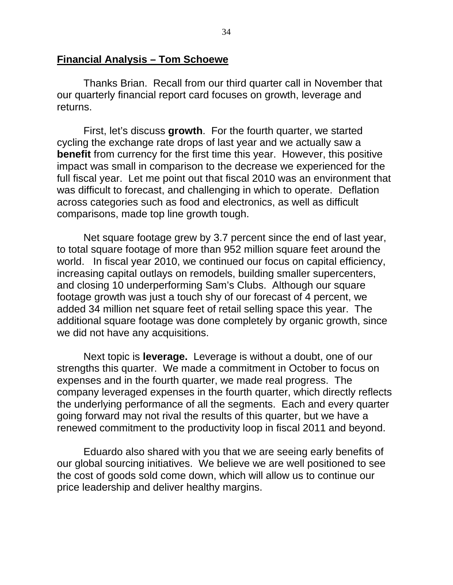### **Financial Analysis – Tom Schoewe**

Thanks Brian. Recall from our third quarter call in November that our quarterly financial report card focuses on growth, leverage and returns.

First, let's discuss **growth**. For the fourth quarter, we started cycling the exchange rate drops of last year and we actually saw a **benefit** from currency for the first time this year. However, this positive impact was small in comparison to the decrease we experienced for the full fiscal year. Let me point out that fiscal 2010 was an environment that was difficult to forecast, and challenging in which to operate. Deflation across categories such as food and electronics, as well as difficult comparisons, made top line growth tough.

Net square footage grew by 3.7 percent since the end of last year, to total square footage of more than 952 million square feet around the world. In fiscal year 2010, we continued our focus on capital efficiency, increasing capital outlays on remodels, building smaller supercenters, and closing 10 underperforming Sam's Clubs. Although our square footage growth was just a touch shy of our forecast of 4 percent, we added 34 million net square feet of retail selling space this year. The additional square footage was done completely by organic growth, since we did not have any acquisitions.

Next topic is **leverage.** Leverage is without a doubt, one of our strengths this quarter. We made a commitment in October to focus on expenses and in the fourth quarter, we made real progress. The company leveraged expenses in the fourth quarter, which directly reflects the underlying performance of all the segments. Each and every quarter going forward may not rival the results of this quarter, but we have a renewed commitment to the productivity loop in fiscal 2011 and beyond.

Eduardo also shared with you that we are seeing early benefits of our global sourcing initiatives. We believe we are well positioned to see the cost of goods sold come down, which will allow us to continue our price leadership and deliver healthy margins.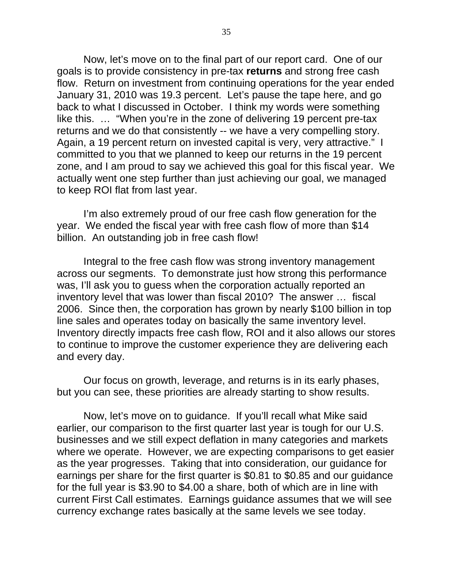Now, let's move on to the final part of our report card. One of our goals is to provide consistency in pre-tax **returns** and strong free cash flow. Return on investment from continuing operations for the year ended January 31, 2010 was 19.3 percent. Let's pause the tape here, and go back to what I discussed in October. I think my words were something like this. … "When you're in the zone of delivering 19 percent pre-tax returns and we do that consistently -- we have a very compelling story. Again, a 19 percent return on invested capital is very, very attractive." I committed to you that we planned to keep our returns in the 19 percent zone, and I am proud to say we achieved this goal for this fiscal year. We actually went one step further than just achieving our goal, we managed to keep ROI flat from last year.

I'm also extremely proud of our free cash flow generation for the year. We ended the fiscal year with free cash flow of more than \$14 billion. An outstanding job in free cash flow!

Integral to the free cash flow was strong inventory management across our segments. To demonstrate just how strong this performance was, I'll ask you to guess when the corporation actually reported an inventory level that was lower than fiscal 2010? The answer … fiscal 2006. Since then, the corporation has grown by nearly \$100 billion in top line sales and operates today on basically the same inventory level. Inventory directly impacts free cash flow, ROI and it also allows our stores to continue to improve the customer experience they are delivering each and every day.

Our focus on growth, leverage, and returns is in its early phases, but you can see, these priorities are already starting to show results.

Now, let's move on to guidance. If you'll recall what Mike said earlier, our comparison to the first quarter last year is tough for our U.S. businesses and we still expect deflation in many categories and markets where we operate. However, we are expecting comparisons to get easier as the year progresses. Taking that into consideration, our guidance for earnings per share for the first quarter is \$0.81 to \$0.85 and our guidance for the full year is \$3.90 to \$4.00 a share, both of which are in line with current First Call estimates. Earnings guidance assumes that we will see currency exchange rates basically at the same levels we see today.